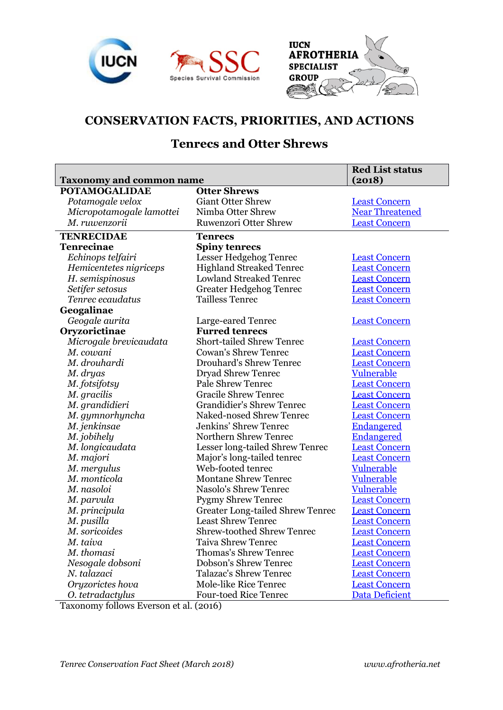





# **CONSERVATION FACTS, PRIORITIES, AND ACTIONS**

## **Tenrecs and Otter Shrews**

|                                 |                                         | <b>Red List status</b> |
|---------------------------------|-----------------------------------------|------------------------|
| <b>Taxonomy and common name</b> |                                         | (2018)                 |
| <b>POTAMOGALIDAE</b>            | <b>Otter Shrews</b>                     |                        |
| Potamogale velox                | <b>Giant Otter Shrew</b>                | <b>Least Concern</b>   |
| Micropotamogale lamottei        | Nimba Otter Shrew                       | <b>Near Threatened</b> |
| M. ruwenzorii                   | <b>Ruwenzori Otter Shrew</b>            | <b>Least Concern</b>   |
| <b>TENRECIDAE</b>               | <b>Tenrecs</b>                          |                        |
| <b>Tenrecinae</b>               | <b>Spiny tenrecs</b>                    |                        |
| Echinops telfairi               | Lesser Hedgehog Tenrec                  | <b>Least Concern</b>   |
| Hemicentetes nigriceps          | <b>Highland Streaked Tenrec</b>         | <b>Least Concern</b>   |
| H. semispinosus                 | <b>Lowland Streaked Tenrec</b>          | <b>Least Concern</b>   |
| Setifer setosus                 | <b>Greater Hedgehog Tenrec</b>          | <b>Least Concern</b>   |
| Tenrec ecaudatus                | <b>Tailless Tenrec</b>                  | <b>Least Concern</b>   |
| Geogalinae                      |                                         |                        |
| Geogale aurita                  | Large-eared Tenrec                      | <b>Least Concern</b>   |
| Oryzorictinae                   | <b>Furred tenrecs</b>                   |                        |
| Microgale brevicaudata          | <b>Short-tailed Shrew Tenrec</b>        | <b>Least Concern</b>   |
| M. cowani                       | <b>Cowan's Shrew Tenrec</b>             | <b>Least Concern</b>   |
| M. drouhardi                    | <b>Drouhard's Shrew Tenrec</b>          | <b>Least Concern</b>   |
| M. dryas                        | Dryad Shrew Tenrec                      | <b>Vulnerable</b>      |
| M. fotsifotsy                   | <b>Pale Shrew Tenrec</b>                | <b>Least Concern</b>   |
| M. gracilis                     | <b>Gracile Shrew Tenrec</b>             | <b>Least Concern</b>   |
| M. grandidieri                  | <b>Grandidier's Shrew Tenrec</b>        | <b>Least Concern</b>   |
| M. gymnorhyncha                 | Naked-nosed Shrew Tenrec                | <b>Least Concern</b>   |
| M. jenkinsae                    | <b>Jenkins' Shrew Tenrec</b>            | <b>Endangered</b>      |
| M. jobihely                     | Northern Shrew Tenrec                   | <b>Endangered</b>      |
| M. longicaudata                 | Lesser long-tailed Shrew Tenrec         | <b>Least Concern</b>   |
| M. majori                       | Major's long-tailed tenrec              | <b>Least Concern</b>   |
| M. mergulus                     | Web-footed tenrec                       | <b>Vulnerable</b>      |
| M. monticola                    | <b>Montane Shrew Tenrec</b>             | <b>Vulnerable</b>      |
| M. nasoloi                      | Nasolo's Shrew Tenrec                   | <b>Vulnerable</b>      |
| M. parvula                      | <b>Pygmy Shrew Tenrec</b>               | <b>Least Concern</b>   |
| M. principula                   | <b>Greater Long-tailed Shrew Tenrec</b> | <b>Least Concern</b>   |
| M. pusilla                      | <b>Least Shrew Tenrec</b>               | <b>Least Concern</b>   |
| M. soricoides                   | <b>Shrew-toothed Shrew Tenrec</b>       | <b>Least Concern</b>   |
| M. taiva                        | <b>Taiva Shrew Tenrec</b>               | <b>Least Concern</b>   |
| M. thomasi                      | <b>Thomas's Shrew Tenrec</b>            | <b>Least Concern</b>   |
| Nesogale dobsoni                | <b>Dobson's Shrew Tenrec</b>            | <b>Least Concern</b>   |
| N. talazaci                     | <b>Talazac's Shrew Tenrec</b>           | <b>Least Concern</b>   |
| Oryzorictes hova                | <b>Mole-like Rice Tenrec</b>            | <b>Least Concern</b>   |
| O. tetradactylus                | <b>Four-toed Rice Tenrec</b>            | <b>Data Deficient</b>  |

Taxonomy follows Everson et al. (2016)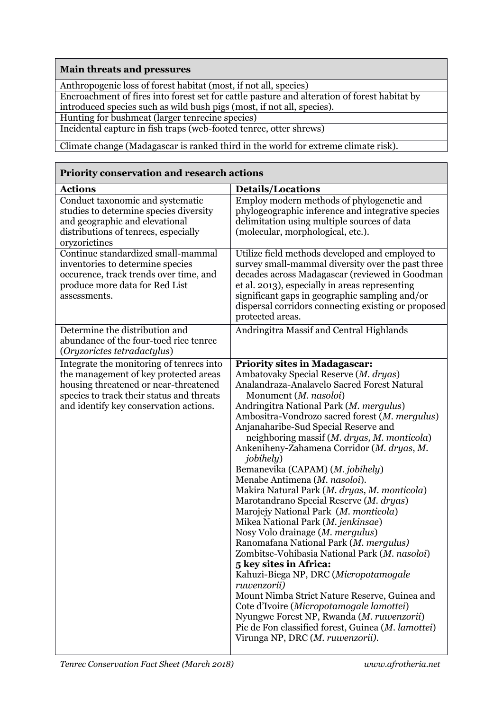### **Main threats and pressures**

Anthropogenic loss of forest habitat (most, if not all, species)

Encroachment of fires into forest set for cattle pasture and alteration of forest habitat by introduced species such as wild bush pigs (most, if not all, species).

Hunting for bushmeat (larger tenrecine species)

Incidental capture in fish traps (web-footed tenrec, otter shrews)

Climate change (Madagascar is ranked third in the world for extreme climate risk).

#### **Priority conservation and research actions**

| <b>Actions</b>                                                                                                                                                                                                    | <b>Details/Locations</b>                                                                                                                                                                                                                                                                                                                                                                                                                                                                                                                                                                                                                                                                                                                                                                                                                                                                                                                                                                                                                                                                                         |
|-------------------------------------------------------------------------------------------------------------------------------------------------------------------------------------------------------------------|------------------------------------------------------------------------------------------------------------------------------------------------------------------------------------------------------------------------------------------------------------------------------------------------------------------------------------------------------------------------------------------------------------------------------------------------------------------------------------------------------------------------------------------------------------------------------------------------------------------------------------------------------------------------------------------------------------------------------------------------------------------------------------------------------------------------------------------------------------------------------------------------------------------------------------------------------------------------------------------------------------------------------------------------------------------------------------------------------------------|
| Conduct taxonomic and systematic<br>studies to determine species diversity<br>and geographic and elevational<br>distributions of tenrecs, especially<br>oryzorictines                                             | Employ modern methods of phylogenetic and<br>phylogeographic inference and integrative species<br>delimitation using multiple sources of data<br>(molecular, morphological, etc.).                                                                                                                                                                                                                                                                                                                                                                                                                                                                                                                                                                                                                                                                                                                                                                                                                                                                                                                               |
| Continue standardized small-mammal<br>inventories to determine species<br>occurence, track trends over time, and<br>produce more data for Red List<br>assessments.                                                | Utilize field methods developed and employed to<br>survey small-mammal diversity over the past three<br>decades across Madagascar (reviewed in Goodman<br>et al. 2013), especially in areas representing<br>significant gaps in geographic sampling and/or<br>dispersal corridors connecting existing or proposed<br>protected areas.                                                                                                                                                                                                                                                                                                                                                                                                                                                                                                                                                                                                                                                                                                                                                                            |
| Determine the distribution and<br>abundance of the four-toed rice tenrec<br>(Oryzorictes tetradactylus)                                                                                                           | Andringitra Massif and Central Highlands                                                                                                                                                                                                                                                                                                                                                                                                                                                                                                                                                                                                                                                                                                                                                                                                                                                                                                                                                                                                                                                                         |
| Integrate the monitoring of tenrecs into<br>the management of key protected areas<br>housing threatened or near-threatened<br>species to track their status and threats<br>and identify key conservation actions. | <b>Priority sites in Madagascar:</b><br>Ambatovaky Special Reserve (M. dryas)<br>Analandraza-Analavelo Sacred Forest Natural<br>Monument (M. nasoloi)<br>Andringitra National Park (M. mergulus)<br>Ambositra-Vondrozo sacred forest (M. mergulus)<br>Anjanaharibe-Sud Special Reserve and<br>neighboring massif (M. dryas, M. monticola)<br>Ankeniheny-Zahamena Corridor (M. dryas, M.<br><i>jobihely</i> )<br>Bemanevika (CAPAM) (M. jobihely)<br>Menabe Antimena (M. nasoloi).<br>Makira Natural Park (M. dryas, M. monticola)<br>Marotandrano Special Reserve (M. dryas)<br>Marojejy National Park (M. monticola)<br>Mikea National Park (M. jenkinsae)<br>Nosy Volo drainage (M. mergulus)<br>Ranomafana National Park (M. mergulus)<br>Zombitse-Vohibasia National Park (M. nasoloi)<br>5 key sites in Africa:<br>Kahuzi-Biega NP, DRC (Micropotamogale<br>ruwenzorii)<br>Mount Nimba Strict Nature Reserve, Guinea and<br>Cote d'Ivoire (Micropotamogale lamottei)<br>Nyungwe Forest NP, Rwanda (M. ruwenzorii)<br>Pic de Fon classified forest, Guinea (M. lamottei)<br>Virunga NP, DRC (M. ruwenzorii). |